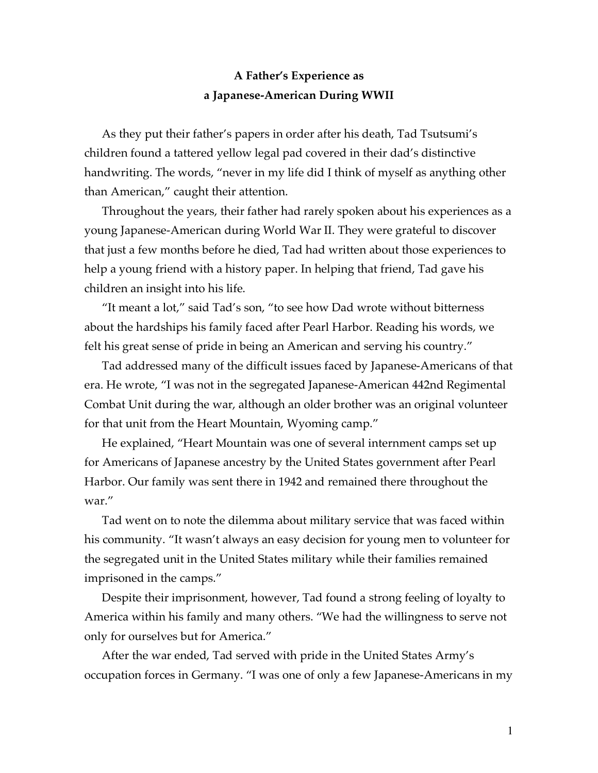## **A Father's Experience as a Japanese-American During WWII**

As they put their father's papers in order after his death, Tad Tsutsumi's children found a tattered yellow legal pad covered in their dad's distinctive handwriting. The words, "never in my life did I think of myself as anything other than American," caught their attention.

Throughout the years, their father had rarely spoken about his experiences as a young Japanese-American during World War II. They were grateful to discover that just a few months before he died, Tad had written about those experiences to help a young friend with a history paper. In helping that friend, Tad gave his children an insight into his life.

"It meant a lot," said Tad's son, "to see how Dad wrote without bitterness about the hardships his family faced after Pearl Harbor. Reading his words, we felt his great sense of pride in being an American and serving his country."

Tad addressed many of the difficult issues faced by Japanese-Americans of that era. He wrote, "I was not in the segregated Japanese-American 442nd Regimental Combat Unit during the war, although an older brother was an original volunteer for that unit from the Heart Mountain, Wyoming camp."

He explained, "Heart Mountain was one of several internment camps set up for Americans of Japanese ancestry by the United States government after Pearl Harbor. Our family was sent there in 1942 and remained there throughout the war."

Tad went on to note the dilemma about military service that was faced within his community. "It wasn't always an easy decision for young men to volunteer for the segregated unit in the United States military while their families remained imprisoned in the camps."

Despite their imprisonment, however, Tad found a strong feeling of loyalty to America within his family and many others. "We had the willingness to serve not only for ourselves but for America."

After the war ended, Tad served with pride in the United States Army's occupation forces in Germany. "I was one of only a few Japanese-Americans in my